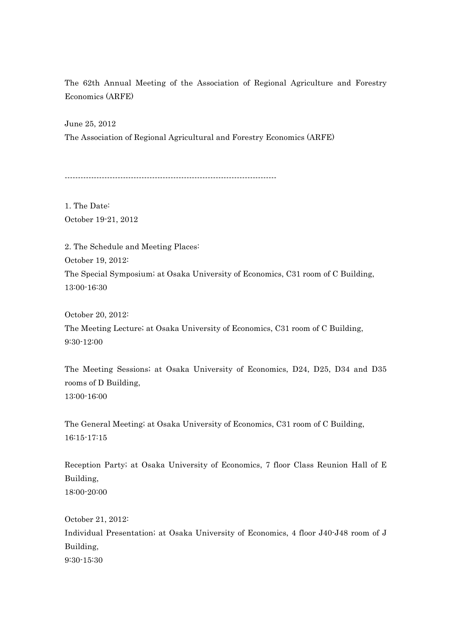The 62th Annual Meeting of the Association of Regional Agriculture and Forestry Economics (ARFE)

June 25, 2012 The Association of Regional Agricultural and Forestry Economics (ARFE)

--------------------------------------------------------------------------------

1. The Date: October 19-21, 2012

2. The Schedule and Meeting Places: October 19, 2012: The Special Symposium; at Osaka University of Economics, C31 room of C Building, 13:00-16:30

October 20, 2012: The Meeting Lecture; at Osaka University of Economics, C31 room of C Building, 9:30-12:00

The Meeting Sessions; at Osaka University of Economics, D24, D25, D34 and D35 rooms of D Building, 13:00-16:00

The General Meeting; at Osaka University of Economics, C31 room of C Building, 16:15-17:15

Reception Party; at Osaka University of Economics, 7 floor Class Reunion Hall of E Building, 18:00-20:00

October 21, 2012: Individual Presentation; at Osaka University of Economics, 4 floor J40-J48 room of J Building, 9:30-15:30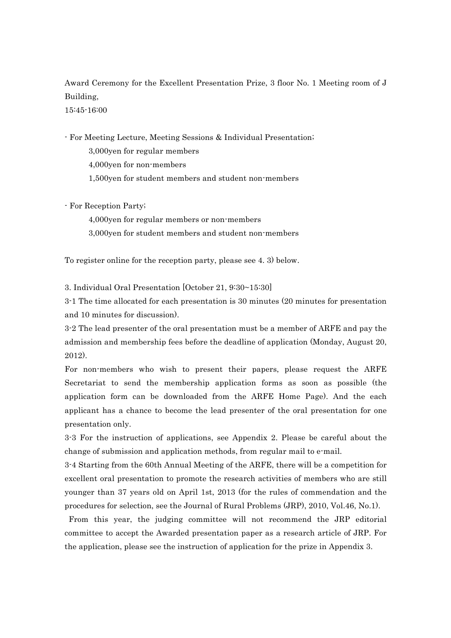Award Ceremony for the Excellent Presentation Prize, 3 floor No. 1 Meeting room of J Building,

15:45-16:00

- For Meeting Lecture, Meeting Sessions & Individual Presentation;

3,000yen for regular members

4,000yen for non-members

1,500yen for student members and student non-members

- For Reception Party;

4,000yen for regular members or non-members

3,000yen for student members and student non-members

To register online for the reception party, please see 4. 3) below.

3. Individual Oral Presentation [October 21, 9:30~15:30]

3-1 The time allocated for each presentation is 30 minutes (20 minutes for presentation and 10 minutes for discussion).

3-2 The lead presenter of the oral presentation must be a member of ARFE and pay the admission and membership fees before the deadline of application (Monday, August 20, 2012).

For non-members who wish to present their papers, please request the ARFE Secretariat to send the membership application forms as soon as possible (the application form can be downloaded from the ARFE Home Page). And the each applicant has a chance to become the lead presenter of the oral presentation for one presentation only.

3-3 For the instruction of applications, see Appendix 2. Please be careful about the change of submission and application methods, from regular mail to e-mail.

3-4 Starting from the 60th Annual Meeting of the ARFE, there will be a competition for excellent oral presentation to promote the research activities of members who are still younger than 37 years old on April 1st, 2013 (for the rules of commendation and the procedures for selection, see the Journal of Rural Problems (JRP), 2010, Vol.46, No.1).

From this year, the judging committee will not recommend the JRP editorial committee to accept the Awarded presentation paper as a research article of JRP. For the application, please see the instruction of application for the prize in Appendix 3.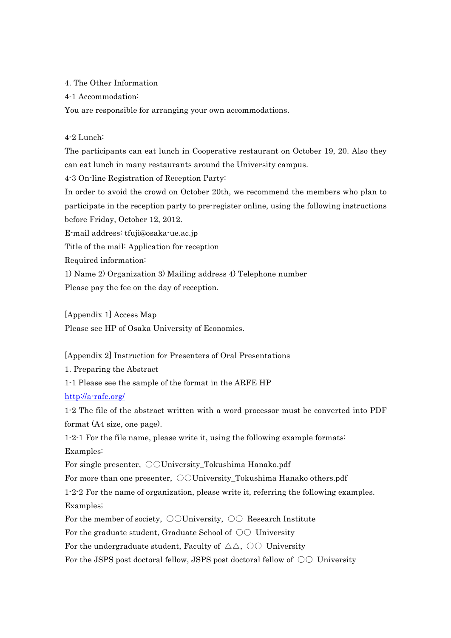4. The Other Information

4-1 Accommodation:

You are responsible for arranging your own accommodations.

## 4-2 Lunch:

The participants can eat lunch in Cooperative restaurant on October 19, 20. Also they can eat lunch in many restaurants around the University campus.

4-3 On-line Registration of Reception Party:

In order to avoid the crowd on October 20th, we recommend the members who plan to participate in the reception party to pre-register online, using the following instructions before Friday, October 12, 2012.

E-mail address: tfuji@osaka-ue.ac.jp

Title of the mail: Application for reception

Required information:

1) Name 2) Organization 3) Mailing address 4) Telephone number

Please pay the fee on the day of reception.

[Appendix 1] Access Map

Please see HP of Osaka University of Economics.

## [Appendix 2] Instruction for Presenters of Oral Presentations

1. Preparing the Abstract

1-1 Please see the sample of the format in the ARFE HP

http://a-rafe.org/

1-2 The file of the abstract written with a word processor must be converted into PDF format (A4 size, one page).

1-2-1 For the file name, please write it, using the following example formats: Examples:

For single presenter,  $\odot$ OUniversity Tokushima Hanako.pdf

For more than one presenter,  $\bigcirc$ University Tokushima Hanako others.pdf

1-2-2 For the name of organization, please write it, referring the following examples. Examples;

For the member of society,  $\bigcirc$  University,  $\bigcirc$  Research Institute

For the graduate student, Graduate School of  $\circlearrowright \circlearrowright$  University

For the undergraduate student, Faculty of  $\triangle \triangle$ ,  $\odot \odot$  University

For the JSPS post doctoral fellow, JSPS post doctoral fellow of  $\circlearrowright\circlearrowright$  University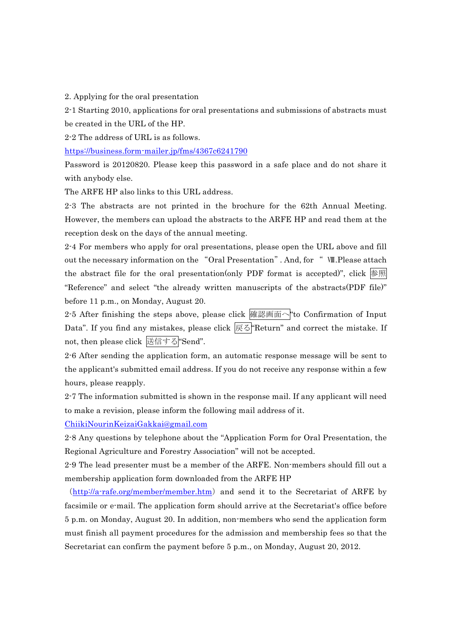2. Applying for the oral presentation

2-1 Starting 2010, applications for oral presentations and submissions of abstracts must be created in the URL of the HP.

2-2 The address of URL is as follows.

https://business.form-mailer.jp/fms/4367c6241790

Password is 20120820. Please keep this password in a safe place and do not share it with anybody else.

The ARFE HP also links to this URL address.

2-3 The abstracts are not printed in the brochure for the 62th Annual Meeting. However, the members can upload the abstracts to the ARFE HP and read them at the reception desk on the days of the annual meeting.

2-4 For members who apply for oral presentations, please open the URL above and fill out the necessary information on the "Oral Presentation". And, for " Ⅷ.Please attach the abstract file for the oral presentation(only PDF format is accepted)", click  $\frac{1}{2}$   $\frac{1}{2}$ "Reference" and select "the already written manuscripts of the abstracts(PDF file)" before 11 p.m., on Monday, August 20.

2.5 After finishing the steps above, please click 確認画面へ to Confirmation of Input Data". If you find any mistakes, please click 展る Return" and correct the mistake. If not, then please click 送信する"Send".

2-6 After sending the application form, an automatic response message will be sent to the applicant's submitted email address. If you do not receive any response within a few hours, please reapply.

2-7 The information submitted is shown in the response mail. If any applicant will need to make a revision, please inform the following mail address of it.

ChiikiNourinKeizaiGakkai@gmail.com

2-8 Any questions by telephone about the "Application Form for Oral Presentation, the Regional Agriculture and Forestry Association" will not be accepted.

2-9 The lead presenter must be a member of the ARFE. Non-members should fill out a membership application form downloaded from the ARFE HP

(http://a-rafe.org/member/member.htm) and send it to the Secretariat of ARFE by facsimile or e-mail. The application form should arrive at the Secretariat's office before 5 p.m. on Monday, August 20. In addition, non-members who send the application form must finish all payment procedures for the admission and membership fees so that the Secretariat can confirm the payment before 5 p.m., on Monday, August 20, 2012.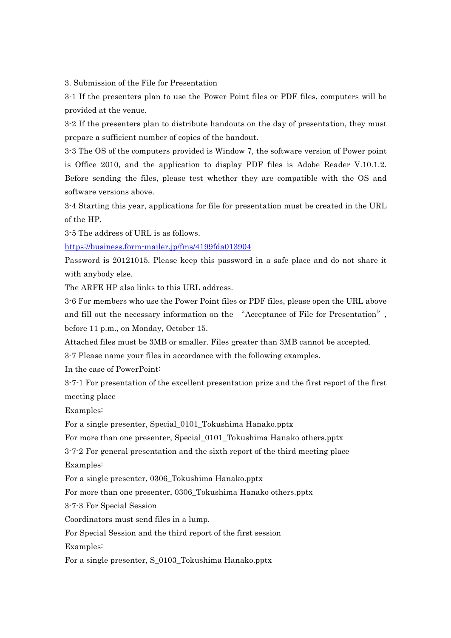3. Submission of the File for Presentation

3-1 If the presenters plan to use the Power Point files or PDF files, computers will be provided at the venue.

3-2 If the presenters plan to distribute handouts on the day of presentation, they must prepare a sufficient number of copies of the handout.

3-3 The OS of the computers provided is Window 7, the software version of Power point is Office 2010, and the application to display PDF files is Adobe Reader V.10.1.2. Before sending the files, please test whether they are compatible with the OS and software versions above.

3-4 Starting this year, applications for file for presentation must be created in the URL of the HP.

3-5 The address of URL is as follows.

https://business.form-mailer.jp/fms/4199fda013904

Password is 20121015. Please keep this password in a safe place and do not share it with anybody else.

The ARFE HP also links to this URL address.

3-6 For members who use the Power Point files or PDF files, please open the URL above and fill out the necessary information on the "Acceptance of File for Presentation", before 11 p.m., on Monday, October 15.

Attached files must be 3MB or smaller. Files greater than 3MB cannot be accepted.

3-7 Please name your files in accordance with the following examples.

In the case of PowerPoint:

3-7-1 For presentation of the excellent presentation prize and the first report of the first meeting place

Examples:

For a single presenter, Special\_0101\_Tokushima Hanako.pptx

For more than one presenter, Special\_0101\_Tokushima Hanako others.pptx

3-7-2 For general presentation and the sixth report of the third meeting place Examples:

For a single presenter, 0306\_Tokushima Hanako.pptx

For more than one presenter, 0306\_Tokushima Hanako others.pptx

3-7-3 For Special Session

Coordinators must send files in a lump.

For Special Session and the third report of the first session

Examples:

For a single presenter, S\_0103\_Tokushima Hanako.pptx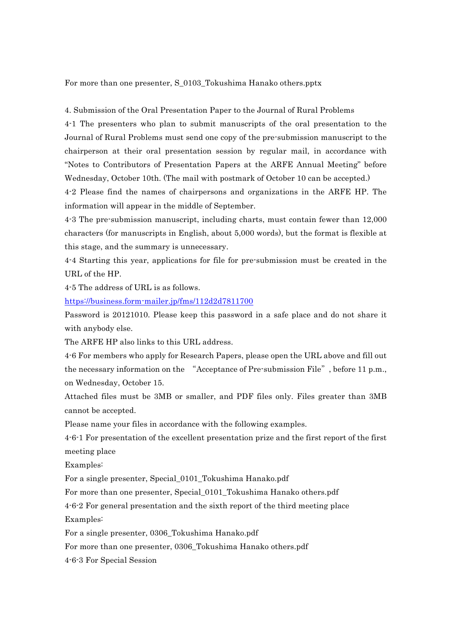For more than one presenter, S\_0103\_Tokushima Hanako others.pptx

4. Submission of the Oral Presentation Paper to the Journal of Rural Problems

4-1 The presenters who plan to submit manuscripts of the oral presentation to the Journal of Rural Problems must send one copy of the pre-submission manuscript to the chairperson at their oral presentation session by regular mail, in accordance with "Notes to Contributors of Presentation Papers at the ARFE Annual Meeting" before Wednesday, October 10th. (The mail with postmark of October 10 can be accepted.)

4-2 Please find the names of chairpersons and organizations in the ARFE HP. The information will appear in the middle of September.

4-3 The pre-submission manuscript, including charts, must contain fewer than 12,000 characters (for manuscripts in English, about 5,000 words), but the format is flexible at this stage, and the summary is unnecessary.

4-4 Starting this year, applications for file for pre-submission must be created in the URL of the HP.

4-5 The address of URL is as follows.

https://business.form-mailer.jp/fms/112d2d7811700

Password is 20121010. Please keep this password in a safe place and do not share it with anybody else.

The ARFE HP also links to this URL address.

4-6 For members who apply for Research Papers, please open the URL above and fill out the necessary information on the "Acceptance of Pre-submission File", before 11 p.m., on Wednesday, October 15.

Attached files must be 3MB or smaller, and PDF files only. Files greater than 3MB cannot be accepted.

Please name your files in accordance with the following examples.

4-6-1 For presentation of the excellent presentation prize and the first report of the first meeting place

Examples:

For a single presenter, Special\_0101\_Tokushima Hanako.pdf

For more than one presenter, Special\_0101\_Tokushima Hanako others.pdf

4-6-2 For general presentation and the sixth report of the third meeting place Examples:

For a single presenter, 0306\_Tokushima Hanako.pdf

For more than one presenter, 0306\_Tokushima Hanako others.pdf

4-6-3 For Special Session